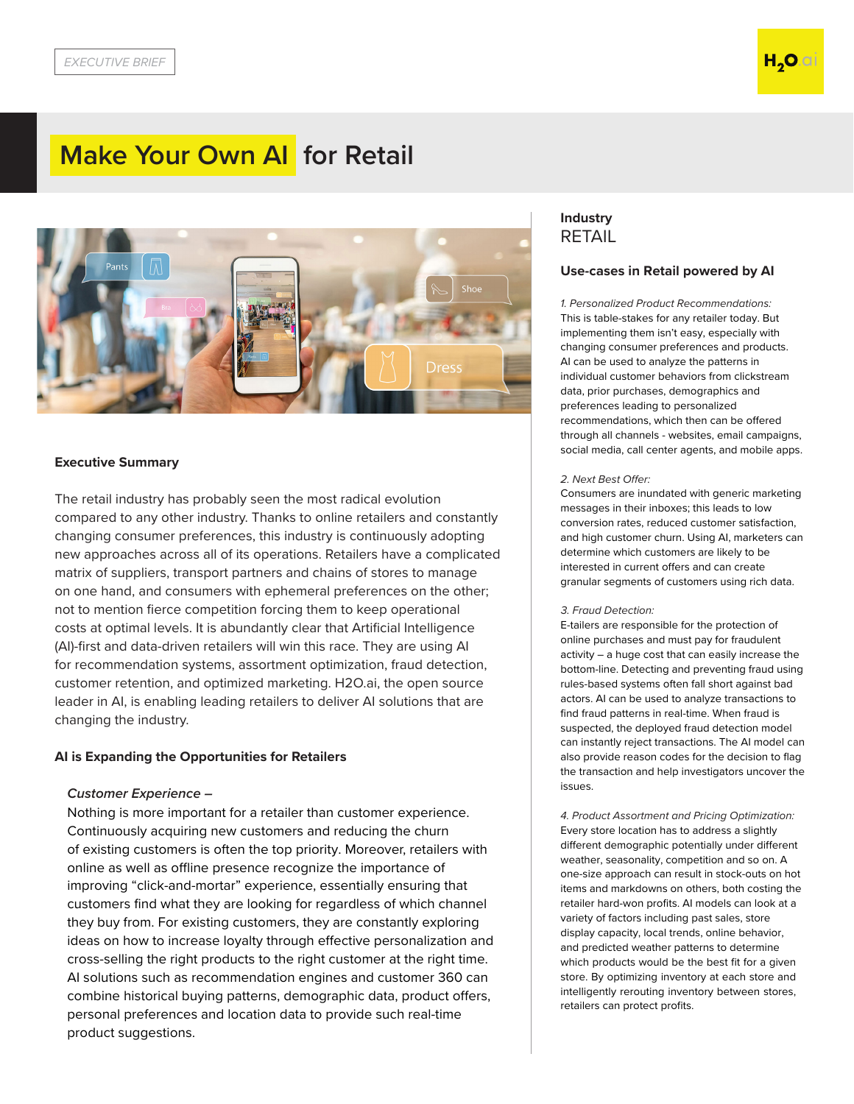# **Make Your Own AI for Retail**



### **Executive Summary**

The retail industry has probably seen the most radical evolution compared to any other industry. Thanks to online retailers and constantly changing consumer preferences, this industry is continuously adopting new approaches across all of its operations. Retailers have a complicated matrix of suppliers, transport partners and chains of stores to manage on one hand, and consumers with ephemeral preferences on the other; not to mention fierce competition forcing them to keep operational costs at optimal levels. It is abundantly clear that Artificial Intelligence (AI)-first and data-driven retailers will win this race. They are using AI for recommendation systems, assortment optimization, fraud detection, customer retention, and optimized marketing. H2O.ai, the open source leader in AI, is enabling leading retailers to deliver AI solutions that are changing the industry.

#### **AI is Expanding the Opportunities for Retailers**

#### *Customer Experience –*

Nothing is more important for a retailer than customer experience. Continuously acquiring new customers and reducing the churn of existing customers is often the top priority. Moreover, retailers with online as well as offline presence recognize the importance of improving "click-and-mortar" experience, essentially ensuring that customers find what they are looking for regardless of which channel they buy from. For existing customers, they are constantly exploring ideas on how to increase loyalty through effective personalization and cross-selling the right products to the right customer at the right time. AI solutions such as recommendation engines and customer 360 can combine historical buying patterns, demographic data, product offers, personal preferences and location data to provide such real-time product suggestions.

# **Industry**  RETAIL

#### **Use-cases in Retail powered by AI**

*1. Personalized Product Recommendations:* This is table-stakes for any retailer today. But implementing them isn't easy, especially with changing consumer preferences and products. AI can be used to analyze the patterns in individual customer behaviors from clickstream data, prior purchases, demographics and preferences leading to personalized recommendations, which then can be offered through all channels - websites, email campaigns, social media, call center agents, and mobile apps.

#### 2. *Next Best Offer:*

Consumers are inundated with generic marketing messages in their inboxes; this leads to low conversion rates, reduced customer satisfaction, and high customer churn. Using AI, marketers can determine which customers are likely to be interested in current offers and can create granular segments of customers using rich data.

#### 3. *Fraud Detection:*

E-tailers are responsible for the protection of online purchases and must pay for fraudulent activity – a huge cost that can easily increase the bottom-line. Detecting and preventing fraud using rules-based systems often fall short against bad actors. AI can be used to analyze transactions to find fraud patterns in real-time. When fraud is suspected, the deployed fraud detection model can instantly reject transactions. The AI model can also provide reason codes for the decision to flag the transaction and help investigators uncover the issues.

*4. Product Assortment and Pricing Optimization:* Every store location has to address a slightly different demographic potentially under different weather, seasonality, competition and so on. A one-size approach can result in stock-outs on hot items and markdowns on others, both costing the retailer hard-won profits. AI models can look at a variety of factors including past sales, store display capacity, local trends, online behavior, and predicted weather patterns to determine which products would be the best fit for a given store. By optimizing inventory at each store and intelligently rerouting inventory between stores, retailers can protect profits.